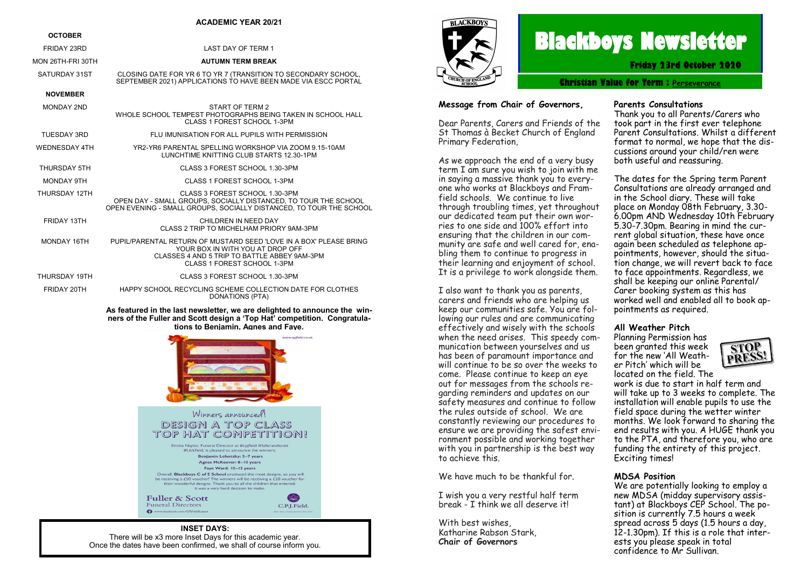#### **ACADEMIC YEAR 20/21**

| <b>OCTOBER</b>       |                                                                                                                                                                                       |  |
|----------------------|---------------------------------------------------------------------------------------------------------------------------------------------------------------------------------------|--|
| FRIDAY 23RD          | <b>LAST DAY OF TERM 1</b>                                                                                                                                                             |  |
| MON 26TH-FRI 30TH    | <b>AUTUMN TERM BREAK</b>                                                                                                                                                              |  |
| SATURDAY 31ST        | CLOSING DATE FOR YR 6 TO YR 7 (TRANSITION TO SECONDARY SCHOOL,<br>SEPTEMBER 2021) APPLICATIONS TO HAVE BEEN MADE VIA ESCC PORTAL                                                      |  |
| <b>NOVEMBER</b>      |                                                                                                                                                                                       |  |
| <b>MONDAY 2ND</b>    | START OF TERM 2<br>WHOLE SCHOOL TEMPEST PHOTOGRAPHS BEING TAKEN IN SCHOOL HALL<br>CLASS 1 FOREST SCHOOL 1-3PM                                                                         |  |
| TUESDAY 3RD          | FLU IMUNISATION FOR ALL PUPILS WITH PERMISSION                                                                                                                                        |  |
| <b>WEDNESDAY 4TH</b> | YR2-YR6 PARENTAL SPELLING WORKSHOP VIA ZOOM 9.15-10AM<br>LUNCHTIME KNITTING CLUB STARTS 12.30-1PM                                                                                     |  |
| THURSDAY 5TH         | CLASS 3 FOREST SCHOOL 1.30-3PM                                                                                                                                                        |  |
| MONDAY 9TH           | CLASS 1 FOREST SCHOOL 1-3PM                                                                                                                                                           |  |
| THURSDAY 12TH        | CLASS 3 FOREST SCHOOL 1.30-3PM<br>OPEN DAY - SMALL GROUPS, SOCIALLY DISTANCED. TO TOUR THE SCHOOL<br>OPEN EVENING - SMALL GROUPS, SOCIALLY DISTANCED, TO TOUR THE SCHOOL              |  |
| FRIDAY 13TH          | CHILDREN IN NEED DAY<br>CLASS 2 TRIP TO MICHELHAM PRIORY 9AM-3PM                                                                                                                      |  |
| MONDAY 16TH          | PUPIL/PARENTAL RETURN OF MUSTARD SEED 'LOVE IN A BOX' PLEASE BRING<br>YOUR BOX IN WITH YOU AT DROP OFF<br>CLASSES 4 AND 5 TRIP TO BATTLE ABBEY 9AM-3PM<br>CLASS 1 FOREST SCHOOL 1-3PM |  |
| THURSDAY 19TH        | CLASS 3 FOREST SCHOOL 1.30-3PM                                                                                                                                                        |  |
| FRIDAY 20TH          | HAPPY SCHOOL RECYCLING SCHEME COLLECTION DATE FOR CLOTHES<br><b>DONATIONS (PTA)</b>                                                                                                   |  |

**As featured in the last newsletter, we are delighted to announce the winners of the Fuller and Scott design a 'Top Hat' competition. Congratulations to Benjamin, Agnes and Faye.**





# **Blackboys Newsletter**

**Friday 23rd October 2020**

**Christian Value for Term : [Perseverance](https://www.google.co.uk/search?safe=strict&q=Perseverance&spell=1&sa=X&ved=0ahUKEwjdufaq38vdAhUHIsAKHUx5DOMQkeECCCgoAA)**

#### **Message from Chair of Governors,**

Dear Parents, Carers and Friends of the St Thomas à Becket Church of England Primary Federation,

As we approach the end of a very busy term I am sure you wish to join with me in saying a massive thank you to everyone who works at Blackboys and Framfield schools. We continue to live through troubling times, yet throughout our dedicated team put their own worries to one side and 100% effort into ensuring that the children in our community are safe and well cared for, enabling them to continue to progress in their learning and enjoyment of school. It is a privilege to work alongside them.

I also want to thank you as parents, carers and friends who are helping us keep our communities safe. You are following our rules and are communicating effectively and wisely with the schools when the need arises. This speedy communication between yourselves and us has been of paramount importance and will continue to be so over the weeks to come. Please continue to keep an eye out for messages from the schools regarding reminders and updates on our safety measures and continue to follow the rules outside of school. We are constantly reviewing our procedures to ensure we are providing the safest environment possible and working together with you in partnership is the best way to achieve this.

We have much to be thankful for.

I wish you a very restful half term break - I think we all deserve it!

With best wishes, Katharine Rabson Stark, **Chair of Governors**

#### **Parents Consultations**

Thank you to all Parents/Carers who took part in the first ever telephone Parent Consultations. Whilst a different format to normal, we hope that the discussions around your child/ren were both useful and reassuring.

The dates for the Spring term Parent Consultations are already arranged and in the School diary. These will take place on Monday 08th February, 3.30- 6.00pm AND Wednesday 10th February 5.30-7.30pm. Bearing in mind the current global situation, these have once again been scheduled as telephone appointments, however, should the situation change, we will revert back to face to face appointments. Regardless, we shall be keeping our online Parental/ Carer booking system as this has worked well and enabled all to book appointments as required.

#### **All Weather Pitch**

Planning Permission has been granted this week for the new 'All Weather Pitch' which will be located on the field. The



work is due to start in half term and will take up to 3 weeks to complete. The installation will enable pupils to use the field space during the wetter winter months. We look forward to sharing the end results with you. A HUGE thank you to the PTA, and therefore you, who are funding the entirety of this project. Exciting times!

#### **MDSA Position**

We are potentially looking to employ a new MDSA (midday supervisory assistant) at Blackboys CEP School. The position is currently 7.5 hours a week spread across 5 days (1.5 hours a day, 12-1.30pm). If this is a role that interests you please speak in total confidence to Mr Sullivan.

#### **INSET DAYS:**

There will be x3 more Inset Days for this academic year. Once the dates have been confirmed, we shall of course inform you.